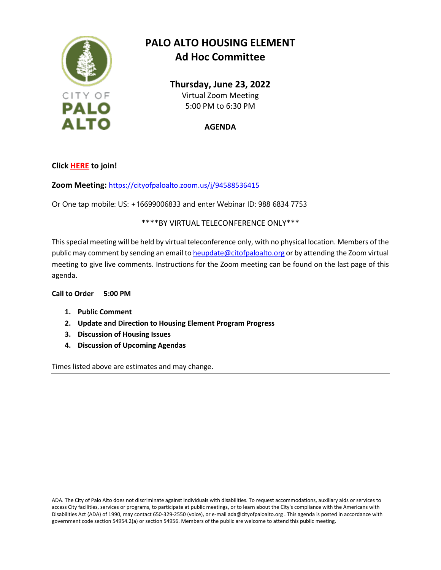

## **PALO ALTO HOUSING ELEMENT Ad Hoc Committee**

**Thursday, June 23, 2022** Virtual Zoom Meeting 5:00 PM to 6:30 PM

**AGENDA**

**Clic[k HERE](https://cityofpaloalto.zoom.us/j/94588536415) to join!**

**Zoom Meeting:** <https://cityofpaloalto.zoom.us/j/94588536415>

Or One tap mobile: US: +16699006833 and enter Webinar ID: 988 6834 7753

## \*\*\*\*BY VIRTUAL TELECONFERENCE ONLY\*\*\*

This special meeting will be held by virtual teleconference only, with no physical location. Members of the public may comment by sending an email t[o heupdate@citofpaloalto.org](mailto:heupdate@citofpaloalto.org) or by attending the Zoom virtual meeting to give live comments. Instructions for the Zoom meeting can be found on the last page of this agenda.

## **Call to Order 5:00 PM**

- **1. Public Comment**
- **2. Update and Direction to Housing Element Program Progress**
- **3. Discussion of Housing Issues**
- **4. Discussion of Upcoming Agendas**

Times listed above are estimates and may change.

ADA. The City of Palo Alto does not discriminate against individuals with disabilities. To request accommodations, auxiliary aids or services to access City facilities, services or programs, to participate at public meetings, or to learn about the City's compliance with the Americans with Disabilities Act (ADA) of 1990, may contact 650-329-2550 (voice), or e-mail ada@cityofpaloalto.org . This agenda is posted in accordance with government code section 54954.2(a) or section 54956. Members of the public are welcome to attend this public meeting.